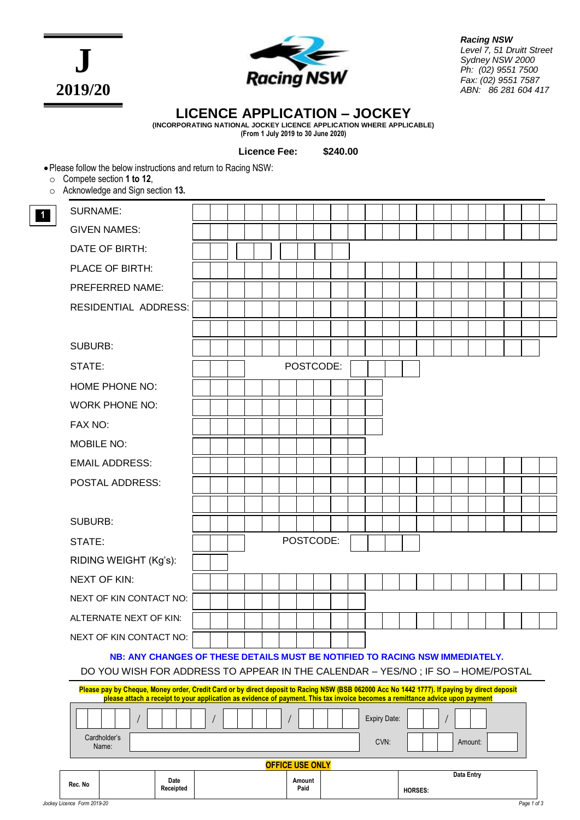**J 2019/20**



*Racing NSW Level 7, 51 Druitt Street Sydney NSW 2000 Ph: (02) 9551 7500 Fax: (02) 9551 7587 ABN: 86 281 604 417*

# **LICENCE APPLICATION – JOCKEY**

**(INCORPORATING NATIONAL JOCKEY LICENCE APPLICATION WHERE APPLICABLE) (From 1 July 2019 to 30 June 2020)**

**Licence Fee: \$240.00**

•Please follow the below instructions and return to Racing NSW:

o Compete section **1 to 12**,

**1**

o Acknowledge and Sign section **13.**

| Rec. No                | Date<br>Receipted                                                                                                                                               |  |  |  |  |  |  | Amount<br>Paid |  |  |              |      | HORSES. |  | Data Entry |         |  |  |
|------------------------|-----------------------------------------------------------------------------------------------------------------------------------------------------------------|--|--|--|--|--|--|----------------|--|--|--------------|------|---------|--|------------|---------|--|--|
| <b>OFFICE USE ONLY</b> |                                                                                                                                                                 |  |  |  |  |  |  |                |  |  |              |      |         |  |            |         |  |  |
|                        | Cardholder's<br>Name:                                                                                                                                           |  |  |  |  |  |  |                |  |  |              | CVN: |         |  |            | Amount: |  |  |
|                        |                                                                                                                                                                 |  |  |  |  |  |  |                |  |  | Expiry Date: |      |         |  |            |         |  |  |
|                        | please attach a receipt to your application as evidence of payment. This tax invoice becomes a remittance advice upon payment                                   |  |  |  |  |  |  |                |  |  |              |      |         |  |            |         |  |  |
|                        | Please pay by Cheque, Money order, Credit Card or by direct deposit to Racing NSW (BSB 062000 Acc No 1442 1777). If paying by direct deposit                    |  |  |  |  |  |  |                |  |  |              |      |         |  |            |         |  |  |
|                        | NB: ANY CHANGES OF THESE DETAILS MUST BE NOTIFIED TO RACING NSW IMMEDIATELY.<br>DO YOU WISH FOR ADDRESS TO APPEAR IN THE CALENDAR - YES/NO; IF SO - HOME/POSTAL |  |  |  |  |  |  |                |  |  |              |      |         |  |            |         |  |  |
|                        | NEXT OF KIN CONTACT NO:                                                                                                                                         |  |  |  |  |  |  |                |  |  |              |      |         |  |            |         |  |  |
|                        | ALTERNATE NEXT OF KIN:                                                                                                                                          |  |  |  |  |  |  |                |  |  |              |      |         |  |            |         |  |  |
|                        | NEXT OF KIN CONTACT NO:                                                                                                                                         |  |  |  |  |  |  |                |  |  |              |      |         |  |            |         |  |  |
|                        | <b>NEXT OF KIN:</b>                                                                                                                                             |  |  |  |  |  |  |                |  |  |              |      |         |  |            |         |  |  |
|                        | RIDING WEIGHT (Kg's):                                                                                                                                           |  |  |  |  |  |  |                |  |  |              |      |         |  |            |         |  |  |
| STATE:                 |                                                                                                                                                                 |  |  |  |  |  |  | POSTCODE:      |  |  |              |      |         |  |            |         |  |  |
| <b>SUBURB:</b>         |                                                                                                                                                                 |  |  |  |  |  |  |                |  |  |              |      |         |  |            |         |  |  |
|                        |                                                                                                                                                                 |  |  |  |  |  |  |                |  |  |              |      |         |  |            |         |  |  |
|                        | POSTAL ADDRESS:                                                                                                                                                 |  |  |  |  |  |  |                |  |  |              |      |         |  |            |         |  |  |
| <b>EMAIL ADDRESS:</b>  |                                                                                                                                                                 |  |  |  |  |  |  |                |  |  |              |      |         |  |            |         |  |  |
| <b>MOBILE NO:</b>      |                                                                                                                                                                 |  |  |  |  |  |  |                |  |  |              |      |         |  |            |         |  |  |
| FAX NO:                |                                                                                                                                                                 |  |  |  |  |  |  |                |  |  |              |      |         |  |            |         |  |  |
| <b>WORK PHONE NO:</b>  |                                                                                                                                                                 |  |  |  |  |  |  |                |  |  |              |      |         |  |            |         |  |  |
| <b>HOME PHONE NO:</b>  |                                                                                                                                                                 |  |  |  |  |  |  |                |  |  |              |      |         |  |            |         |  |  |
| STATE:                 |                                                                                                                                                                 |  |  |  |  |  |  | POSTCODE:      |  |  |              |      |         |  |            |         |  |  |
| <b>SUBURB:</b>         |                                                                                                                                                                 |  |  |  |  |  |  |                |  |  |              |      |         |  |            |         |  |  |
|                        |                                                                                                                                                                 |  |  |  |  |  |  |                |  |  |              |      |         |  |            |         |  |  |
| RESIDENTIAL ADDRESS:   |                                                                                                                                                                 |  |  |  |  |  |  |                |  |  |              |      |         |  |            |         |  |  |
| PREFERRED NAME:        |                                                                                                                                                                 |  |  |  |  |  |  |                |  |  |              |      |         |  |            |         |  |  |
| PLACE OF BIRTH:        |                                                                                                                                                                 |  |  |  |  |  |  |                |  |  |              |      |         |  |            |         |  |  |
| DATE OF BIRTH:         |                                                                                                                                                                 |  |  |  |  |  |  |                |  |  |              |      |         |  |            |         |  |  |
|                        | SURNAME:<br><b>GIVEN NAMES:</b>                                                                                                                                 |  |  |  |  |  |  |                |  |  |              |      |         |  |            |         |  |  |

**HORSES:**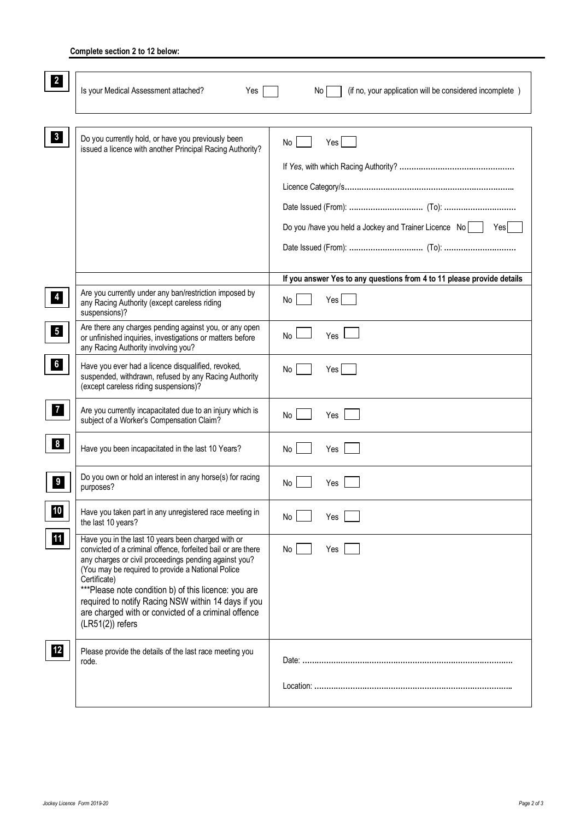## **Complete section 2 to 12 below:**

| $\overline{\mathbf{2}}$ | Is your Medical Assessment attached?<br>Yes                                                                                                                                                                                                                                                                                                                                                                                                  | (if no, your application will be considered incomplete)<br>No l              |
|-------------------------|----------------------------------------------------------------------------------------------------------------------------------------------------------------------------------------------------------------------------------------------------------------------------------------------------------------------------------------------------------------------------------------------------------------------------------------------|------------------------------------------------------------------------------|
| $\vert 3 \vert$         | Do you currently hold, or have you previously been<br>issued a licence with another Principal Racing Authority?                                                                                                                                                                                                                                                                                                                              | No<br>Yes<br>Do you /have you held a Jockey and Trainer Licence No  <br>Yesl |
|                         |                                                                                                                                                                                                                                                                                                                                                                                                                                              | If you answer Yes to any questions from 4 to 11 please provide details       |
| $\overline{4}$          | Are you currently under any ban/restriction imposed by<br>any Racing Authority (except careless riding<br>suspensions)?                                                                                                                                                                                                                                                                                                                      | No<br>Yes                                                                    |
| $\overline{\mathbf{5}}$ | Are there any charges pending against you, or any open<br>or unfinished inquiries, investigations or matters before<br>any Racing Authority involving you?                                                                                                                                                                                                                                                                                   | Yes<br><b>No</b>                                                             |
| 6                       | Have you ever had a licence disqualified, revoked,<br>suspended, withdrawn, refused by any Racing Authority<br>(except careless riding suspensions)?                                                                                                                                                                                                                                                                                         | Yes<br>No                                                                    |
| $\mathbf{7}$            | Are you currently incapacitated due to an injury which is<br>subject of a Worker's Compensation Claim?                                                                                                                                                                                                                                                                                                                                       | No<br>Yes                                                                    |
| 8 <sup>1</sup>          | Have you been incapacitated in the last 10 Years?                                                                                                                                                                                                                                                                                                                                                                                            | No<br>Yes                                                                    |
| 9                       | Do you own or hold an interest in any horse(s) for racing<br>purposes?                                                                                                                                                                                                                                                                                                                                                                       | No<br>Yes                                                                    |
| 10                      | Have you taken part in any unregistered race meeting in<br>the last 10 years?                                                                                                                                                                                                                                                                                                                                                                | No<br>Yes                                                                    |
| <b>11</b>               | Have you in the last 10 years been charged with or<br>convicted of a criminal offence, forfeited bail or are there<br>any charges or civil proceedings pending against you?<br>(You may be required to provide a National Police<br>Certificate)<br>***Please note condition b) of this licence: you are<br>required to notify Racing NSW within 14 days if you<br>are charged with or convicted of a criminal offence<br>$(LR51(2))$ refers | No  <br>Yes                                                                  |
| 12                      | Please provide the details of the last race meeting you<br>rode.                                                                                                                                                                                                                                                                                                                                                                             |                                                                              |
|                         |                                                                                                                                                                                                                                                                                                                                                                                                                                              |                                                                              |